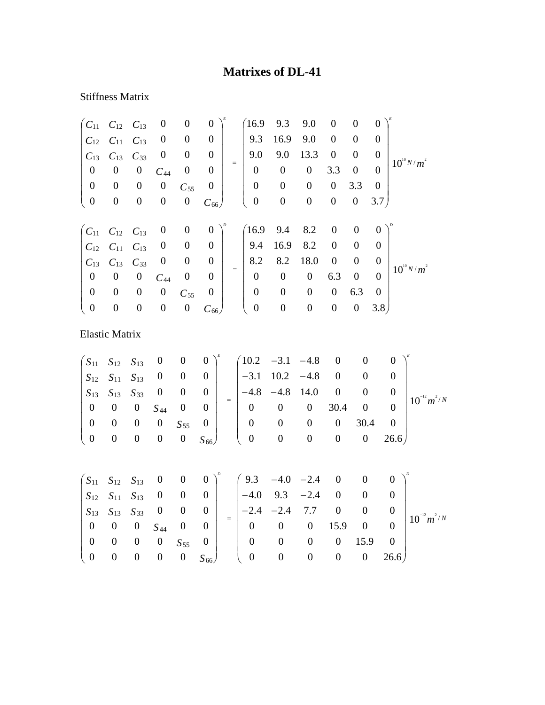## **Matrixes of DL-41**

## Stiffness Matrix

| $C_{11}$            | $C_{12}$              | $C_{13}$         | $\boldsymbol{0}$ | $\boldsymbol{0}$ | $\boldsymbol{0}$ |          | 16.9             | 9.3              | 9.0              | $\boldsymbol{0}$ | $\boldsymbol{0}$ | $\boldsymbol{0}$ |                  |                  |  |
|---------------------|-----------------------|------------------|------------------|------------------|------------------|----------|------------------|------------------|------------------|------------------|------------------|------------------|------------------|------------------|--|
| $C_{12}$            | $C_{11}$              | $C_{13}$         | $\boldsymbol{0}$ | $\boldsymbol{0}$ | $\boldsymbol{0}$ |          | 9.3              | 16.9             | 9.0              | $\boldsymbol{0}$ | $\boldsymbol{0}$ | $\boldsymbol{0}$ |                  |                  |  |
| $C_{13}$            | $C_{13}$              | $C_{33}$         | $\boldsymbol{0}$ | $\boldsymbol{0}$ | $\boldsymbol{0}$ |          | 9.0              | 9.0              | 13.3             | $\boldsymbol{0}$ | $\boldsymbol{0}$ | $\overline{0}$   |                  |                  |  |
| $\boldsymbol{0}$    | $\boldsymbol{0}$      | $\boldsymbol{0}$ | $C_{44}$         | $\boldsymbol{0}$ | $\boldsymbol{0}$ | $=$      | $\boldsymbol{0}$ | $\boldsymbol{0}$ | $\boldsymbol{0}$ | 3.3              | $\boldsymbol{0}$ | $\overline{0}$   |                  | $10^{10} N/m^2$  |  |
| $\boldsymbol{0}$    | $\boldsymbol{0}$      | $\boldsymbol{0}$ | $\boldsymbol{0}$ | $C_{55}$         | $\boldsymbol{0}$ |          | $\boldsymbol{0}$ | $\boldsymbol{0}$ | $\boldsymbol{0}$ | $\boldsymbol{0}$ | 3.3              | $\boldsymbol{0}$ |                  |                  |  |
| $\boldsymbol{0}$    | $\boldsymbol{0}$      | $\boldsymbol{0}$ | $\boldsymbol{0}$ | $\boldsymbol{0}$ | $C_{66}$         |          | $\boldsymbol{0}$ | $\boldsymbol{0}$ | $\boldsymbol{0}$ | $\boldsymbol{0}$ | $\boldsymbol{0}$ | 3.7)             |                  |                  |  |
| $\overline{C_{11}}$ | $C_{12}$              | $C_{13}$         | $\boldsymbol{0}$ | $\boldsymbol{0}$ | $\boldsymbol{0}$ |          | (16.9)           | 9.4              | 8.2              | $\boldsymbol{0}$ | $\boldsymbol{0}$ | $\overline{0}$   |                  |                  |  |
| $C_{12}$            | $C_{11}$              | $C_{13}$         | $\boldsymbol{0}$ | $\boldsymbol{0}$ | $\boldsymbol{0}$ |          | 9.4              | 16.9             | 8.2              | $\boldsymbol{0}$ | $\boldsymbol{0}$ | $\overline{0}$   |                  |                  |  |
| $C_{13}$            | $C_{13}$              | $C_{33}$         | $\boldsymbol{0}$ | $\boldsymbol{0}$ | $\boldsymbol{0}$ |          | 8.2              | 8.2              | 18.0             | $\boldsymbol{0}$ | $\boldsymbol{0}$ | $\boldsymbol{0}$ |                  |                  |  |
| $\boldsymbol{0}$    | $\boldsymbol{0}$      | $\boldsymbol{0}$ | $C_{44}$         | $\boldsymbol{0}$ | $\overline{0}$   | $\equiv$ | $\boldsymbol{0}$ | $\mathbf{0}$     | $\boldsymbol{0}$ | 6.3              | $\boldsymbol{0}$ | $\mathbf{0}$     |                  | $10^{10} N/m^2$  |  |
| $\boldsymbol{0}$    | $\boldsymbol{0}$      | $\boldsymbol{0}$ | $\boldsymbol{0}$ | $C_{55}$         | $\boldsymbol{0}$ |          | $\boldsymbol{0}$ | $\boldsymbol{0}$ | $\boldsymbol{0}$ | $\boldsymbol{0}$ | 6.3              | $\overline{0}$   |                  |                  |  |
| $\boldsymbol{0}$    | $\boldsymbol{0}$      | $\boldsymbol{0}$ | $\boldsymbol{0}$ | $\boldsymbol{0}$ | $C_{66}$         |          | $\boldsymbol{0}$ | $\boldsymbol{0}$ | $\boldsymbol{0}$ | $\boldsymbol{0}$ | $\boldsymbol{0}$ | 3.8)             |                  |                  |  |
|                     | <b>Elastic Matrix</b> |                  |                  |                  |                  |          |                  |                  |                  |                  |                  |                  |                  |                  |  |
| $S_{11}$            | $S_{12}$              | $S_{13}$         | $\boldsymbol{0}$ | $\boldsymbol{0}$ | $\boldsymbol{0}$ |          | 10.2             | $-3.1$           | $-4.8$           | $\boldsymbol{0}$ | $\boldsymbol{0}$ |                  | $\Omega$         |                  |  |
| $\mathfrak{S}_{12}$ | $S_{11}$              | $S_{13}$         | $\boldsymbol{0}$ | $\boldsymbol{0}$ | $\boldsymbol{0}$ |          | $-3.1$           | 10.2             | $-4.8$           | $\boldsymbol{0}$ | $\overline{0}$   |                  | $\boldsymbol{0}$ |                  |  |
| $S_{13}$            | $S_{13}$              | $S_{33}$         | $\boldsymbol{0}$ | $\boldsymbol{0}$ | $\boldsymbol{0}$ |          | $-4.8$           | $-4.8$           | 14.0             | $\boldsymbol{0}$ | $\boldsymbol{0}$ |                  | $\boldsymbol{0}$ |                  |  |
| $\boldsymbol{0}$    | $\boldsymbol{0}$      | $\boldsymbol{0}$ | $S_{44}$         | $\boldsymbol{0}$ | $\boldsymbol{0}$ |          | $\boldsymbol{0}$ | $\boldsymbol{0}$ | $\boldsymbol{0}$ | 30.4             | $\boldsymbol{0}$ |                  | $\boldsymbol{0}$ | $10^{-12} m^2/N$ |  |
| $\boldsymbol{0}$    | $\boldsymbol{0}$      | $\boldsymbol{0}$ | $\boldsymbol{0}$ | $S_{55}$         | $\boldsymbol{0}$ |          | $\boldsymbol{0}$ | $\boldsymbol{0}$ | $\boldsymbol{0}$ | $\boldsymbol{0}$ | 30.4             |                  | $\boldsymbol{0}$ |                  |  |
| $\boldsymbol{0}$    | $\overline{0}$        | $\boldsymbol{0}$ | $\boldsymbol{0}$ | $\boldsymbol{0}$ | $S_{66}$         |          | $\overline{0}$   | $\boldsymbol{0}$ | $\boldsymbol{0}$ | $\boldsymbol{0}$ | $\boldsymbol{0}$ |                  | 26.6)            |                  |  |
|                     |                       |                  |                  |                  |                  |          |                  |                  |                  |                  |                  |                  |                  |                  |  |
| $\sqrt{S_{11}}$     | $S_{12}$              | $S_{13}$         | $\boldsymbol{0}$ | $\boldsymbol{0}$ | $\boldsymbol{0}$ |          | 9.3              | $-4.0$           | $-2.4$           | $\boldsymbol{0}$ | $\boldsymbol{0}$ |                  | $\boldsymbol{0}$ |                  |  |
| $S_{12}$            | $S_{11}$              | $S_{13}$         | $\boldsymbol{0}$ | $\boldsymbol{0}$ | $\boldsymbol{0}$ |          | $-4.0$           | 9.3              | $-2.4$           | $\boldsymbol{0}$ | $\boldsymbol{0}$ |                  | $\boldsymbol{0}$ |                  |  |
| $S_{13}$            | $S_{13}$              | $S_{33}$         | $\boldsymbol{0}$ | $\boldsymbol{0}$ | $\boldsymbol{0}$ | $\equiv$ | $-2.4$           | $-2.4$           | 7.7              | $\boldsymbol{0}$ | $\boldsymbol{0}$ |                  | $\boldsymbol{0}$ |                  |  |
| $\boldsymbol{0}$    | $\boldsymbol{0}$      | $\boldsymbol{0}$ | $S_{44}$         | $\boldsymbol{0}$ | $\boldsymbol{0}$ |          | $\overline{0}$   | $\overline{0}$   | $\overline{0}$   | 15.9             | $\boldsymbol{0}$ |                  | $\boldsymbol{0}$ | $10^{-12} m^2/N$ |  |
| $\boldsymbol{0}$    | $\boldsymbol{0}$      | $\boldsymbol{0}$ | $\boldsymbol{0}$ | $S_{55}$         | $\boldsymbol{0}$ |          | $\boldsymbol{0}$ | $\boldsymbol{0}$ | $\boldsymbol{0}$ | $\boldsymbol{0}$ | 15.9             |                  | $\boldsymbol{0}$ |                  |  |

0 0 0 0 0 26.6

 $\begin{pmatrix} 0 & 0 & 0 & 0 & 13.5 & 0 \\ 0 & 0 & 0 & 0 & 0 & 26.6 \end{pmatrix}$ 

 $\sqrt{2}$ 

*S*

0 0 0 0 0

⎝

 $\begin{pmatrix} 0 & 0 & 0 & 0 & S_{55} & 0 \\ 0 & 0 & 0 & 0 & 0 & S_{66} \end{pmatrix}$ 

66

 $\begin{array}{c} \hline \end{array}$